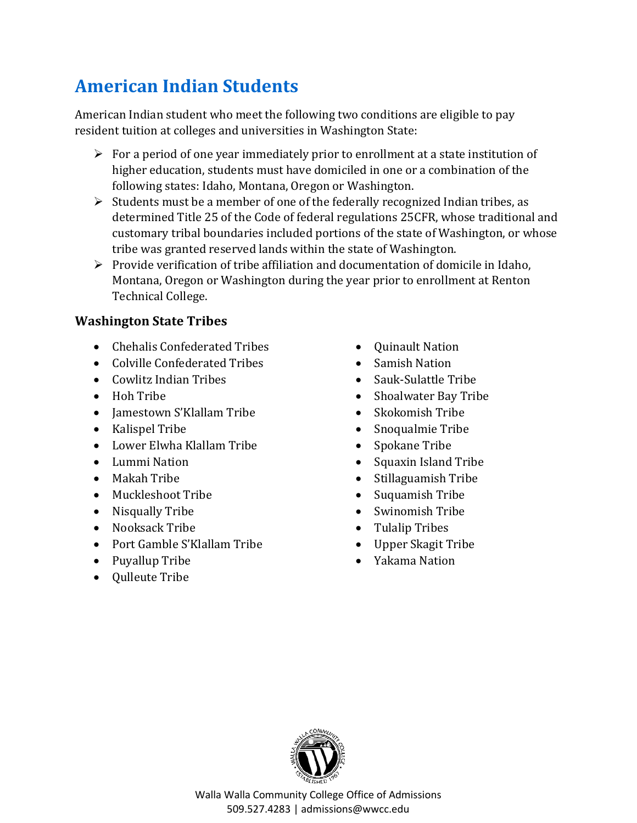## **American Indian Students**

American Indian student who meet the following two conditions are eligible to pay resident tuition at colleges and universities in Washington State:

- $\triangleright$  For a period of one year immediately prior to enrollment at a state institution of higher education, students must have domiciled in one or a combination of the following states: Idaho, Montana, Oregon or Washington.
- $\triangleright$  Students must be a member of one of the federally recognized Indian tribes, as determined Title 25 of the Code of federal regulations 25CFR, whose traditional and customary tribal boundaries included portions of the state of Washington, or whose tribe was granted reserved lands within the state of Washington.
- $\triangleright$  Provide verification of tribe affiliation and documentation of domicile in Idaho, Montana, Oregon or Washington during the year prior to enrollment at Renton Technical College.

## **Washington State Tribes**

- Chehalis Confederated Tribes
- Colville Confederated Tribes
- Cowlitz Indian Tribes
- Hoh Tribe
- Jamestown S'Klallam Tribe
- Kalispel Tribe
- Lower Elwha Klallam Tribe
- Lummi Nation
- Makah Tribe
- Muckleshoot Tribe
- Nisqually Tribe
- Nooksack Tribe
- Port Gamble S'Klallam Tribe
- Puyallup Tribe
- Qulleute Tribe
- Quinault Nation
- Samish Nation
- Sauk-Sulattle Tribe
- Shoalwater Bay Tribe
- Skokomish Tribe
- Snoqualmie Tribe
- Spokane Tribe
- Squaxin Island Tribe
- Stillaguamish Tribe
- Suquamish Tribe
- Swinomish Tribe
- Tulalip Tribes
- Upper Skagit Tribe
- Yakama Nation



Walla Walla Community College Office of Admissions 509.527.4283 | admissions@wwcc.edu